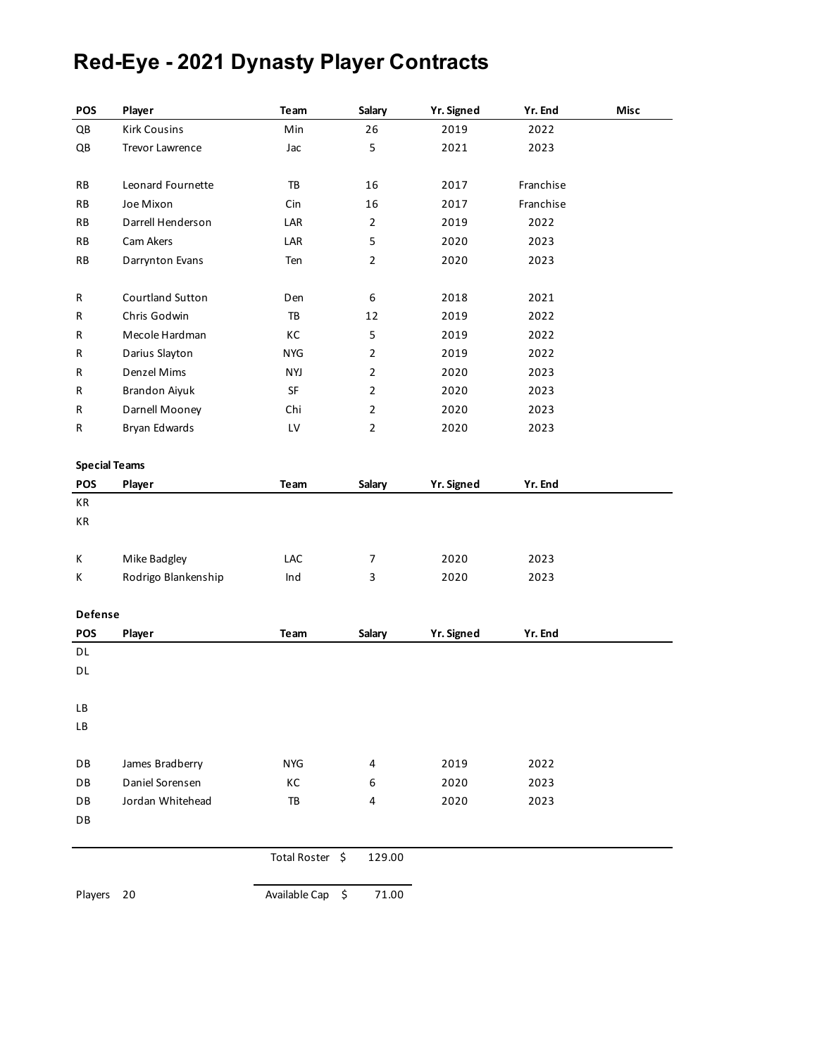# **Red-Eye - 2021 Dynasty Player Contracts**

| POS                  | Player              | Team            | Salary         | Yr. Signed | Yr. End   | Misc |
|----------------------|---------------------|-----------------|----------------|------------|-----------|------|
| QB                   | <b>Kirk Cousins</b> | Min             | 26             | 2019       | 2022      |      |
| QB                   | Trevor Lawrence     | Jac             | 5              | 2021       | 2023      |      |
|                      |                     |                 |                |            |           |      |
| RB                   | Leonard Fournette   | TB              | 16             | 2017       | Franchise |      |
| RB                   | Joe Mixon           | Cin             | 16             | 2017       | Franchise |      |
| RB                   | Darrell Henderson   | LAR             | $\overline{2}$ | 2019       | 2022      |      |
| RB                   | Cam Akers           | LAR             | 5              | 2020       | 2023      |      |
| RB                   | Darrynton Evans     | Ten             | $\overline{2}$ | 2020       | 2023      |      |
|                      |                     |                 |                |            |           |      |
| R                    | Courtland Sutton    | Den             | 6              | 2018       | 2021      |      |
| R                    | Chris Godwin        | TB              | 12             | 2019       | 2022      |      |
| R                    | Mecole Hardman      | КC              | 5              | 2019       | 2022      |      |
| R                    | Darius Slayton      | <b>NYG</b>      | $\overline{2}$ | 2019       | 2022      |      |
| R                    | Denzel Mims         | <b>NYJ</b>      | $\overline{2}$ | 2020       | 2023      |      |
| R                    | Brandon Aiyuk       | SF              | $\overline{2}$ | 2020       | 2023      |      |
| R                    | Darnell Mooney      | Chi             | $\overline{2}$ | 2020       | 2023      |      |
| R                    | Bryan Edwards       | LV              | $\overline{2}$ | 2020       | 2023      |      |
|                      |                     |                 |                |            |           |      |
| <b>Special Teams</b> |                     |                 |                |            |           |      |
| POS                  | Player              | Team            | Salary         | Yr. Signed | Yr. End   |      |
| КR                   |                     |                 |                |            |           |      |
| КR                   |                     |                 |                |            |           |      |
| К                    | Mike Badgley        | LAC             | 7              | 2020       | 2023      |      |
| Κ                    | Rodrigo Blankenship | Ind             | 3              | 2020       | 2023      |      |
|                      |                     |                 |                |            |           |      |
| Defense              |                     |                 |                |            |           |      |
| POS                  | Player              | Team            | <b>Salary</b>  | Yr. Signed | Yr. End   |      |
| DL                   |                     |                 |                |            |           |      |
| DL                   |                     |                 |                |            |           |      |
|                      |                     |                 |                |            |           |      |
| LB                   |                     |                 |                |            |           |      |
| LВ                   |                     |                 |                |            |           |      |
|                      |                     |                 |                |            |           |      |
| DB                   | James Bradberry     | <b>NYG</b>      | 4              | 2019       | 2022      |      |
| DB                   | Daniel Sorensen     | КC              | 6              | 2020       | 2023      |      |
| DB                   | Jordan Whitehead    | TB              | 4              | 2020       | 2023      |      |
| DB                   |                     |                 |                |            |           |      |
|                      |                     | Total Roster \$ | 129.00         |            |           |      |
|                      |                     |                 |                |            |           |      |
| Players              | 20                  | Available Cap   | \$<br>71.00    |            |           |      |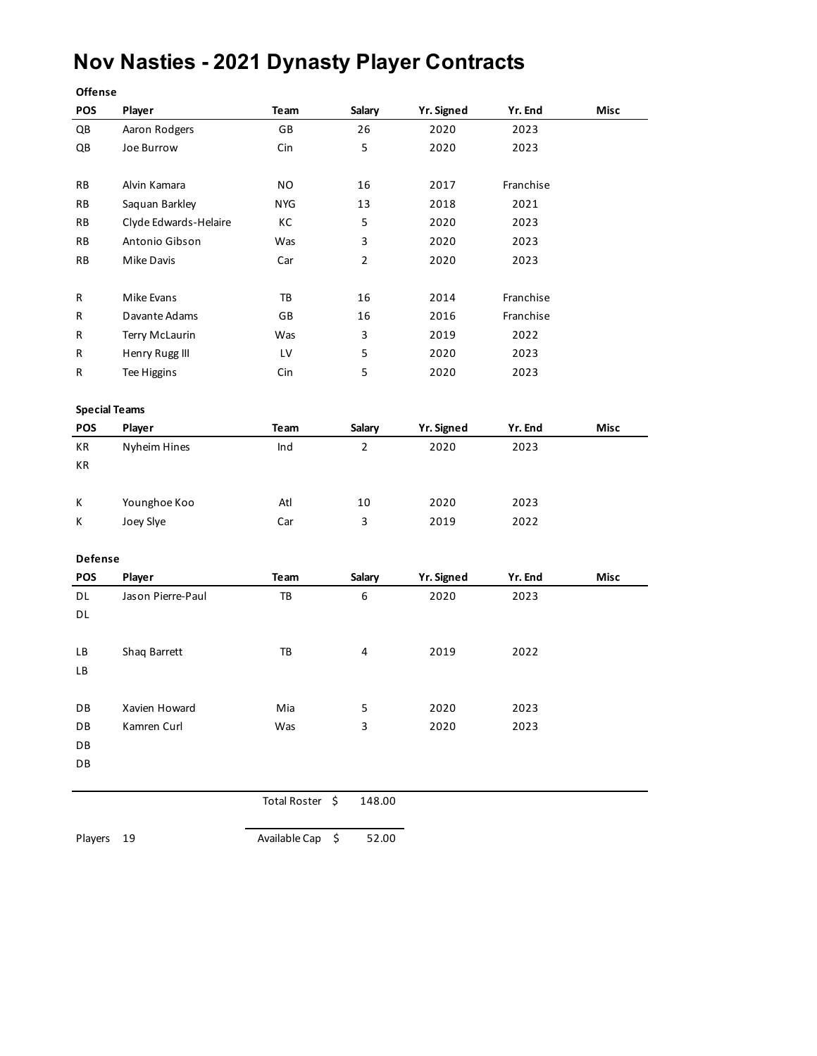## **Nov Nasties - 2021 Dynasty Player Contracts**

| POS                    | Player                | Team            | Salary         | <b>Yr. Signed</b> | Yr. End   | Misc |
|------------------------|-----------------------|-----------------|----------------|-------------------|-----------|------|
| $\mathsf{Q}\mathsf{B}$ | Aaron Rodgers         | GB              | 26             | 2020              | 2023      |      |
| QB                     | Joe Burrow            | Cin             | 5              | 2020              | 2023      |      |
|                        |                       |                 |                |                   |           |      |
| RB                     | Alvin Kamara          | <b>NO</b>       | 16             | 2017              | Franchise |      |
| RB                     | Saquan Barkley        | <b>NYG</b>      | 13             | 2018              | 2021      |      |
| RB                     | Clyde Edwards-Helaire | КC              | 5              | 2020              | 2023      |      |
| RB                     | Antonio Gibson        | Was             | 3              | 2020              | 2023      |      |
| ${\sf RB}$             | Mike Davis            | Car             | $\overline{2}$ | 2020              | 2023      |      |
|                        |                       |                 |                |                   |           |      |
| R                      | Mike Evans            | TB              | 16             | 2014              | Franchise |      |
| R                      | Davante Adams         | GB              | 16             | 2016              | Franchise |      |
| R                      | Terry McLaurin        | Was             | 3              | 2019              | 2022      |      |
| R                      | Henry Rugg III        | LV              | 5              | 2020              | 2023      |      |
| R                      | Tee Higgins           | Cin             | 5              | 2020              | 2023      |      |
| <b>Special Teams</b>   |                       |                 |                |                   |           |      |
| POS                    | Player                | Team            | Salary         | <b>Yr. Signed</b> | Yr. End   | Misc |
| KR                     | Nyheim Hines          | Ind             | $\overline{2}$ | 2020              | 2023      |      |
| KR                     |                       |                 |                |                   |           |      |
| Κ                      | Younghoe Koo          | Atl             | 10             | 2020              | 2023      |      |
| Κ                      | Joey Slye             | Car             | 3              | 2019              | 2022      |      |
| Defense                |                       |                 |                |                   |           |      |
| POS                    | Player                | Team            | Salary         | <b>Yr. Signed</b> | Yr. End   | Misc |
| DL                     | Jason Pierre-Paul     | TB              | 6              | 2020              | 2023      |      |
| DL                     |                       |                 |                |                   |           |      |
| LB                     | Shaq Barrett          | TB              | 4              | 2019              | 2022      |      |
| LB                     |                       |                 |                |                   |           |      |
|                        |                       |                 |                |                   |           |      |
| DB                     | Xavien Howard         | Mia             | 5              | 2020              | 2023      |      |
| DB                     | Kamren Curl           | Was             | 3              | 2020              | 2023      |      |
| DB                     |                       |                 |                |                   |           |      |
| DB                     |                       |                 |                |                   |           |      |
|                        |                       | Total Roster \$ | 148.00         |                   |           |      |
|                        |                       |                 |                |                   |           |      |
| Players                | 19                    | Available Cap   | \$<br>52.00    |                   |           |      |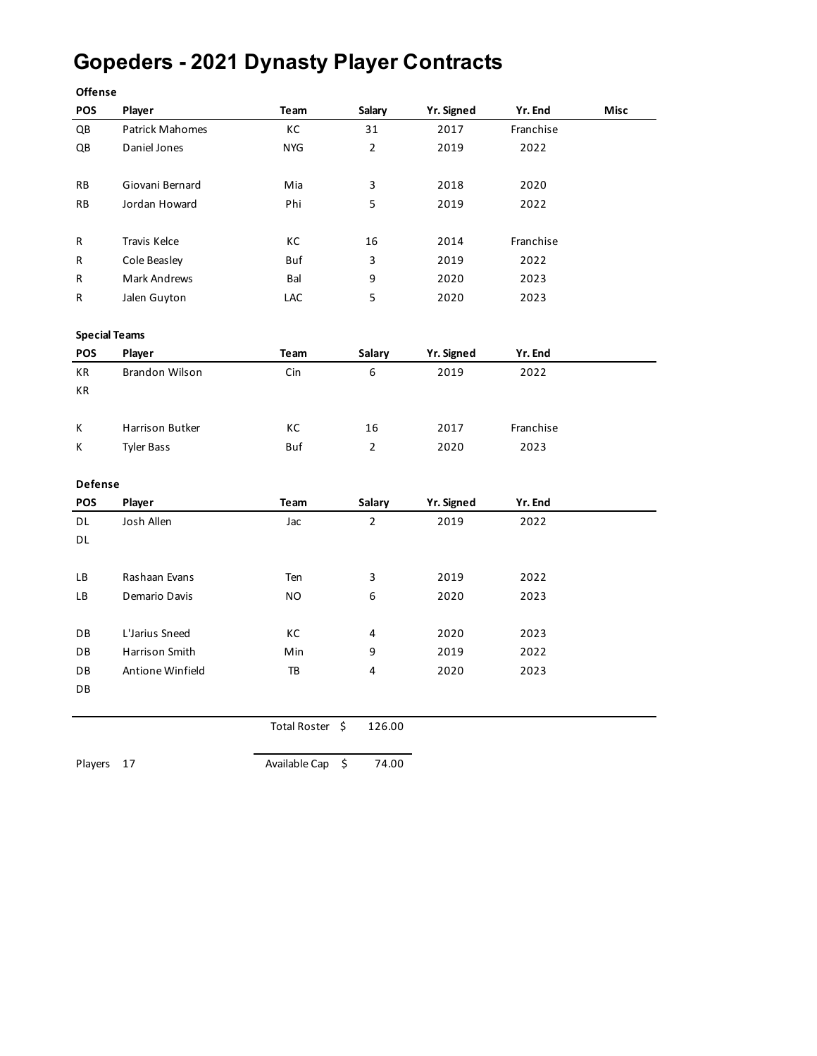# **Gopeders - 2021 Dynasty Player Contracts**

| <b>Offense</b>         |                        |                     |                         |            |           |      |
|------------------------|------------------------|---------------------|-------------------------|------------|-----------|------|
| POS                    | Player                 | Team                | Salary                  | Yr. Signed | Yr. End   | Misc |
| QB                     | <b>Patrick Mahomes</b> | КC                  | 31                      | 2017       | Franchise |      |
| $\mathsf{Q}\mathsf{B}$ | Daniel Jones           | <b>NYG</b>          | $\overline{2}$          | 2019       | 2022      |      |
|                        |                        |                     |                         |            |           |      |
| <b>RB</b>              | Giovani Bernard        | Mia                 | 3                       | 2018       | 2020      |      |
| RB                     | Jordan Howard          | Phi                 | 5                       | 2019       | 2022      |      |
|                        |                        |                     |                         |            |           |      |
| R                      | Travis Kelce           | КC                  | 16                      | 2014       | Franchise |      |
| R                      | Cole Beasley           | Buf                 | 3                       | 2019       | 2022      |      |
| R                      | Mark Andrews           | Bal                 | 9                       | 2020       | 2023      |      |
| R                      | Jalen Guyton           | LAC                 | 5                       | 2020       | 2023      |      |
|                        |                        |                     |                         |            |           |      |
| <b>Special Teams</b>   |                        |                     |                         |            |           |      |
| POS                    | Player                 | Team                | Salary                  | Yr. Signed | Yr. End   |      |
| КR                     | <b>Brandon Wilson</b>  | Cin                 | 6                       | 2019       | 2022      |      |
| $\mathsf{KR}\xspace$   |                        |                     |                         |            |           |      |
|                        |                        |                     |                         |            |           |      |
| K                      | Harrison Butker        | КC                  | 16                      | 2017       | Franchise |      |
| Κ                      | <b>Tyler Bass</b>      | Buf                 | $\overline{2}$          | 2020       | 2023      |      |
|                        |                        |                     |                         |            |           |      |
| Defense                |                        |                     |                         |            |           |      |
| POS                    | Player                 | Team                | <b>Salary</b>           | Yr. Signed | Yr. End   |      |
| DL                     | Josh Allen             | Jac                 | $\overline{2}$          | 2019       | 2022      |      |
| DL                     |                        |                     |                         |            |           |      |
|                        |                        |                     |                         |            |           |      |
| LВ                     | Rashaan Evans          | Ten                 | $\overline{\mathbf{3}}$ | 2019       | 2022      |      |
| LВ                     | Demario Davis          | NO.                 | 6                       | 2020       | 2023      |      |
|                        |                        |                     |                         |            |           |      |
| DB                     | L'Jarius Sneed         | КC                  | 4                       | 2020       | 2023      |      |
| DB                     | Harrison Smith         | Min                 | 9                       | 2019       | 2022      |      |
| DB                     | Antione Winfield       | TB                  | 4                       | 2020       | 2023      |      |
| DB                     |                        |                     |                         |            |           |      |
|                        |                        |                     |                         |            |           |      |
|                        |                        | <b>Total Roster</b> | \$<br>126.00            |            |           |      |
|                        |                        |                     |                         |            |           |      |
| Players                | 17                     | Available Cap       | \$<br>74.00             |            |           |      |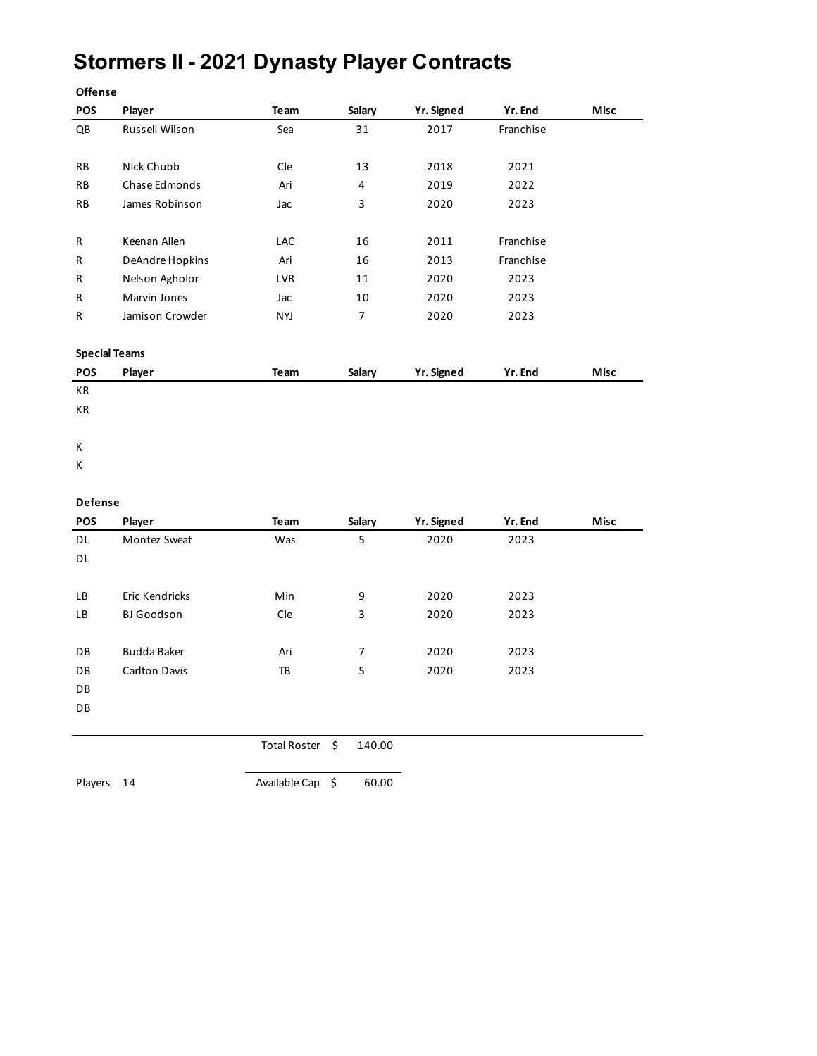### **Stormers II - 2021 Dynasty Player Contracts**

| Offense                |                      |                     |                         |            |           |             |
|------------------------|----------------------|---------------------|-------------------------|------------|-----------|-------------|
| POS                    | Player               | Team                | Salary                  | Yr. Signed | Yr. End   | <b>Misc</b> |
| $\mathsf{Q}\mathsf{B}$ | Russell Wilson       | Sea                 | 31                      | 2017       | Franchise |             |
|                        |                      |                     |                         |            |           |             |
| <b>RB</b>              | Nick Chubb           | Cle                 | 13                      | 2018       | 2021      |             |
| <b>RB</b>              | Chase Edmonds        | Ari                 | $\overline{\mathbf{4}}$ | 2019       | 2022      |             |
| RB                     | James Robinson       | Jac                 | 3                       | 2020       | 2023      |             |
|                        |                      |                     |                         |            |           |             |
| R                      | Keenan Allen         | <b>LAC</b>          | 16                      | 2011       | Franchise |             |
| R                      | DeAndre Hopkins      | Ari                 | 16                      | 2013       | Franchise |             |
| R                      | Nelson Agholor       | LVR                 | 11                      | 2020       | 2023      |             |
| R                      | Marvin Jones         | Jac                 | 10                      | 2020       | 2023      |             |
| R                      | Jamison Crowder      | <b>NYJ</b>          | 7                       | 2020       | 2023      |             |
|                        | <b>Special Teams</b> |                     |                         |            |           |             |
| POS                    | Player               | Team                | Salary                  | Yr. Signed | Yr. End   | Misc        |
| КR                     |                      |                     |                         |            |           |             |
| КR                     |                      |                     |                         |            |           |             |
|                        |                      |                     |                         |            |           |             |
| Κ                      |                      |                     |                         |            |           |             |
| Κ                      |                      |                     |                         |            |           |             |
|                        |                      |                     |                         |            |           |             |
| Defense                |                      |                     |                         |            |           |             |
| <b>POS</b>             | Player               | Team                | Salary                  | Yr. Signed | Yr. End   | Misc        |
| DL                     | Montez Sweat         | Was                 | 5                       | 2020       | 2023      |             |
| DL                     |                      |                     |                         |            |           |             |
|                        |                      |                     |                         |            |           |             |
| LB                     | Eric Kendricks       | Min                 | 9                       | 2020       | 2023      |             |
| LB                     | <b>BJ</b> Goodson    | Cle                 | $\mathsf 3$             | 2020       | 2023      |             |
|                        |                      |                     |                         |            |           |             |
| DB                     | <b>Budda Baker</b>   | Ari                 | 7                       | 2020       | 2023      |             |
| DB                     | Carlton Davis        | TB                  | 5                       | 2020       | 2023      |             |
| DB                     |                      |                     |                         |            |           |             |
| DB                     |                      |                     |                         |            |           |             |
|                        |                      |                     |                         |            |           |             |
|                        |                      | <b>Total Roster</b> | \$<br>140.00            |            |           |             |

Players 14 Available Cap \$ 60.00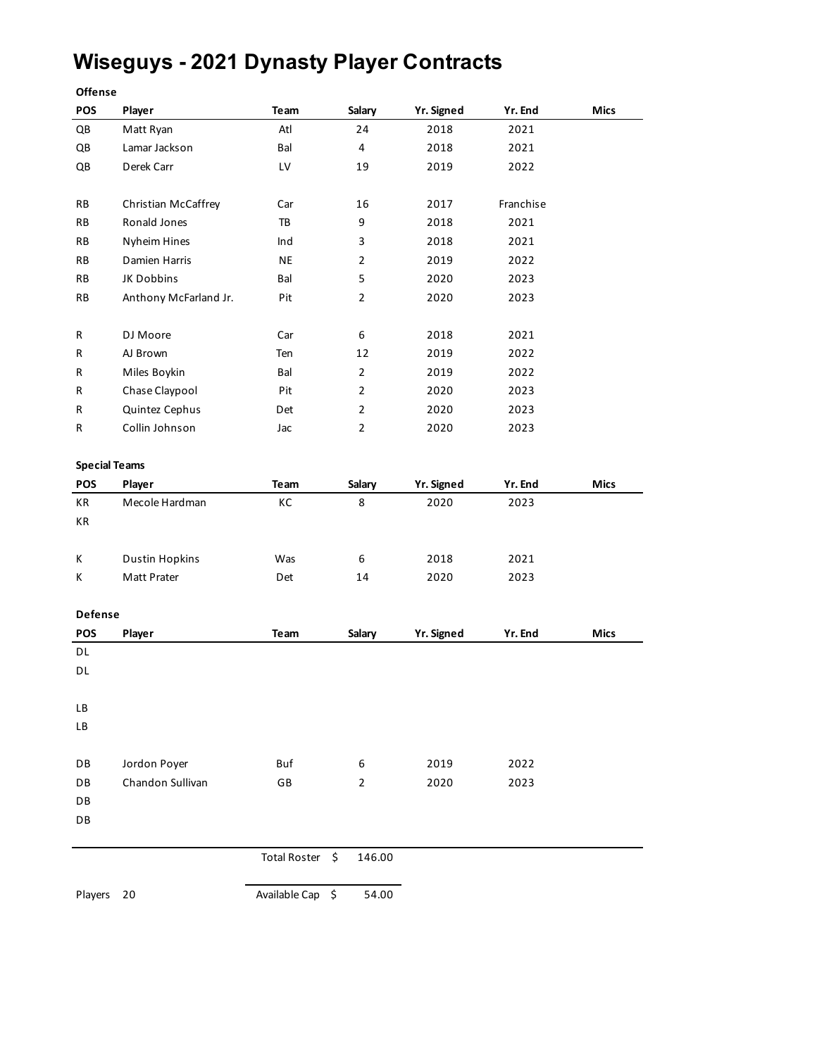### **Wiseguys - 2021 Dynasty Player Contracts**

**Offense**

| $\mathsf{Q}\mathsf{B}$<br>$\mathsf{Q}\mathsf{B}$<br>$\mathsf{Q}\mathsf{B}$<br>RB<br>RB<br>RB<br>RB<br>RB<br>RB<br>R<br>R<br>AJ Brown<br>R<br>R<br>R<br>R<br><b>Special Teams</b><br>POS<br>Player<br>KR<br>КR | Matt Ryan<br>Lamar Jackson<br>Derek Carr<br>Christian McCaffrey<br>Ronald Jones<br>Nyheim Hines<br>Damien Harris | Atl<br>Bal<br>LV<br>Car<br>TB | 24<br>4<br>19<br>16 | 2018<br>2018<br>2019 | 2021<br>2021<br>2022 |             |
|---------------------------------------------------------------------------------------------------------------------------------------------------------------------------------------------------------------|------------------------------------------------------------------------------------------------------------------|-------------------------------|---------------------|----------------------|----------------------|-------------|
|                                                                                                                                                                                                               |                                                                                                                  |                               |                     |                      |                      |             |
|                                                                                                                                                                                                               |                                                                                                                  |                               |                     |                      |                      |             |
|                                                                                                                                                                                                               |                                                                                                                  |                               |                     |                      |                      |             |
|                                                                                                                                                                                                               |                                                                                                                  |                               |                     | 2017                 | Franchise            |             |
|                                                                                                                                                                                                               |                                                                                                                  |                               | 9                   | 2018                 | 2021                 |             |
|                                                                                                                                                                                                               |                                                                                                                  | Ind                           | 3                   | 2018                 | 2021                 |             |
|                                                                                                                                                                                                               |                                                                                                                  | <b>NE</b>                     | $\overline{2}$      | 2019                 | 2022                 |             |
|                                                                                                                                                                                                               | JK Dobbins                                                                                                       | Bal                           | 5                   | 2020                 | 2023                 |             |
|                                                                                                                                                                                                               | Anthony McFarland Jr.                                                                                            | Pit                           | $\overline{2}$      | 2020                 | 2023                 |             |
|                                                                                                                                                                                                               | DJ Moore                                                                                                         | Car                           | 6                   | 2018                 | 2021                 |             |
|                                                                                                                                                                                                               |                                                                                                                  | Ten                           | 12                  | 2019                 | 2022                 |             |
|                                                                                                                                                                                                               | Miles Boykin                                                                                                     | Bal                           | $\overline{2}$      | 2019                 | 2022                 |             |
|                                                                                                                                                                                                               | Chase Claypool                                                                                                   | Pit                           | $\overline{2}$      | 2020                 | 2023                 |             |
|                                                                                                                                                                                                               | Quintez Cephus                                                                                                   | Det                           | $\overline{2}$      | 2020                 | 2023                 |             |
|                                                                                                                                                                                                               | Collin Johnson                                                                                                   | Jac                           | $\overline{2}$      | 2020                 | 2023                 |             |
|                                                                                                                                                                                                               |                                                                                                                  |                               |                     |                      |                      |             |
|                                                                                                                                                                                                               |                                                                                                                  | Team                          | Salary              | <b>Yr. Signed</b>    | Yr. End              | <b>Mics</b> |
|                                                                                                                                                                                                               | Mecole Hardman                                                                                                   | КC                            | 8                   | 2020                 | 2023                 |             |
|                                                                                                                                                                                                               |                                                                                                                  |                               |                     |                      |                      |             |
| Κ                                                                                                                                                                                                             | <b>Dustin Hopkins</b>                                                                                            | Was                           | 6                   | 2018                 | 2021                 |             |
| Κ                                                                                                                                                                                                             | Matt Prater                                                                                                      | Det                           | 14                  | 2020                 | 2023                 |             |
| Defense                                                                                                                                                                                                       |                                                                                                                  |                               |                     |                      |                      |             |
| POS<br>Player                                                                                                                                                                                                 |                                                                                                                  | Team                          | Salary              | Yr. Signed           | Yr. End              | <b>Mics</b> |
| DL                                                                                                                                                                                                            |                                                                                                                  |                               |                     |                      |                      |             |
| DL                                                                                                                                                                                                            |                                                                                                                  |                               |                     |                      |                      |             |
| LB                                                                                                                                                                                                            |                                                                                                                  |                               |                     |                      |                      |             |
| LВ                                                                                                                                                                                                            |                                                                                                                  |                               |                     |                      |                      |             |
| DB                                                                                                                                                                                                            | Jordon Poyer                                                                                                     | Buf                           | 6                   | 2019                 | 2022                 |             |
| DB                                                                                                                                                                                                            | Chandon Sullivan                                                                                                 | GB                            | $\overline{2}$      | 2020                 | 2023                 |             |
| DB                                                                                                                                                                                                            |                                                                                                                  |                               |                     |                      |                      |             |
| DB                                                                                                                                                                                                            |                                                                                                                  |                               |                     |                      |                      |             |
|                                                                                                                                                                                                               |                                                                                                                  | Total Roster \$               | 146.00              |                      |                      |             |

Players 20 Available Cap \$ 54.00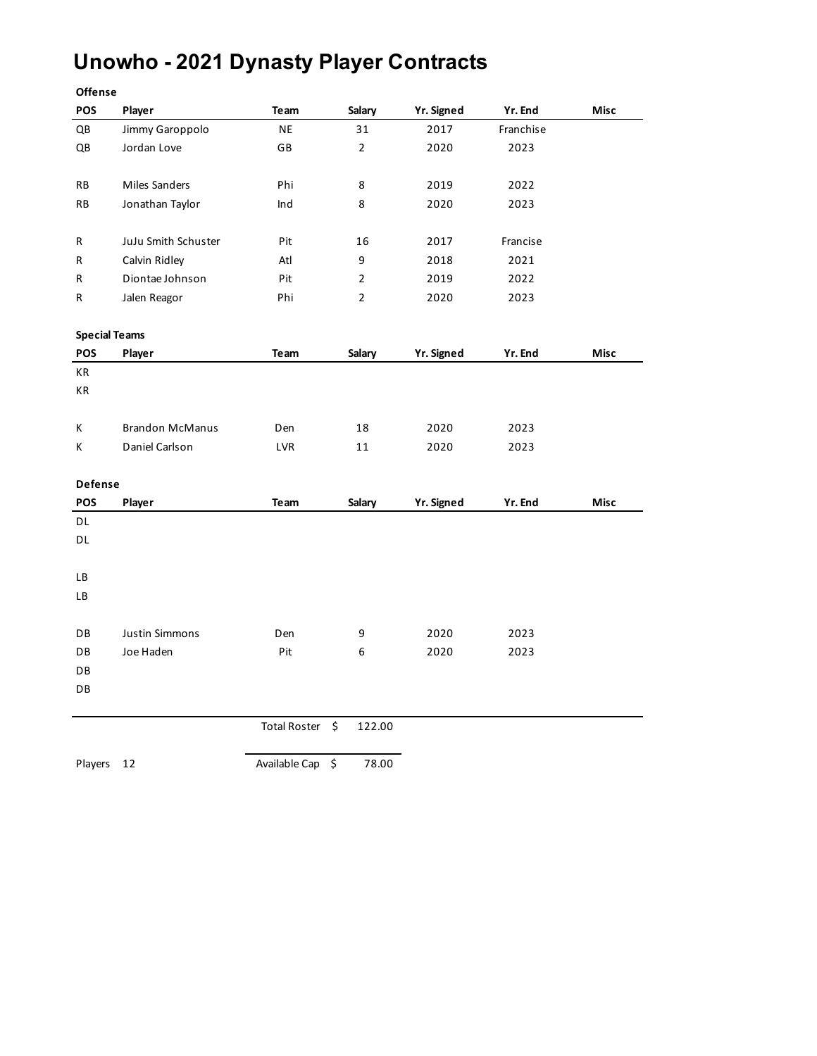## **Unowho - 2021 Dynasty Player Contracts**

| Offense              |                        |                     |                |            |           |             |
|----------------------|------------------------|---------------------|----------------|------------|-----------|-------------|
| POS                  | Player                 | Team                | Salary         | Yr. Signed | Yr. End   | Misc        |
| QB                   | Jimmy Garoppolo        | NE                  | 31             | 2017       | Franchise |             |
| QB                   | Jordan Love            | GB                  | $\overline{2}$ | 2020       | 2023      |             |
|                      |                        |                     |                |            |           |             |
| RB                   | Miles Sanders          | Phi                 | 8              | 2019       | 2022      |             |
| RB                   | Jonathan Taylor        | Ind                 | 8              | 2020       | 2023      |             |
|                      |                        |                     |                |            |           |             |
| R                    | JuJu Smith Schuster    | Pit                 | 16             | 2017       | Francise  |             |
| R                    | Calvin Ridley          | Atl                 | 9              | 2018       | 2021      |             |
| R                    | Diontae Johnson        | Pit                 | 2              | 2019       | 2022      |             |
| R                    | Jalen Reagor           | Phi                 | 2              | 2020       | 2023      |             |
|                      |                        |                     |                |            |           |             |
| <b>Special Teams</b> |                        |                     |                |            |           |             |
| <b>POS</b>           | Player                 | Team                | Salary         | Yr. Signed | Yr. End   | Misc        |
| КR                   |                        |                     |                |            |           |             |
| КR                   |                        |                     |                |            |           |             |
|                      |                        |                     |                |            |           |             |
| К                    | <b>Brandon McManus</b> | Den                 | 18             | 2020       | 2023      |             |
| Κ                    | Daniel Carlson         | LVR                 | 11             | 2020       | 2023      |             |
|                      |                        |                     |                |            |           |             |
| Defense              |                        |                     |                |            |           |             |
| POS                  | Player                 | Team                | Salary         | Yr. Signed | Yr. End   | <b>Misc</b> |
| DL                   |                        |                     |                |            |           |             |
| DL                   |                        |                     |                |            |           |             |
| LB                   |                        |                     |                |            |           |             |
| LB                   |                        |                     |                |            |           |             |
|                      |                        |                     |                |            |           |             |
| DB                   | <b>Justin Simmons</b>  | Den                 | 9              | 2020       | 2023      |             |
| DB                   | Joe Haden              | Pit                 | 6              | 2020       | 2023      |             |
| DB                   |                        |                     |                |            |           |             |
| DB                   |                        |                     |                |            |           |             |
|                      |                        |                     |                |            |           |             |
|                      |                        | <b>Total Roster</b> | \$<br>122.00   |            |           |             |
|                      |                        |                     |                |            |           |             |
| Players              | 12                     | Available Cap       | \$<br>78.00    |            |           |             |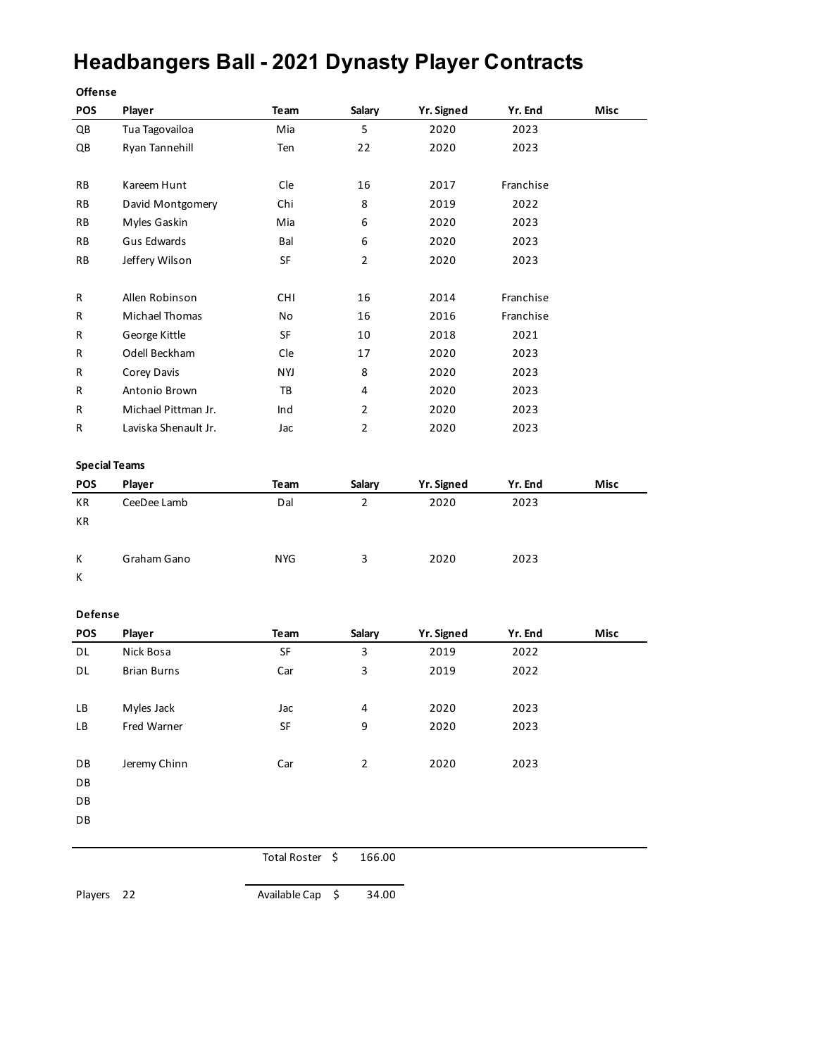# **Headbangers Ball - 2021 Dynasty Player Contracts**

| <b>Offense</b>       |                      |                                   |                |                    |           |      |
|----------------------|----------------------|-----------------------------------|----------------|--------------------|-----------|------|
| POS                  | Player               | Team                              | Salary         | Yr. Signed         | Yr. End   | Misc |
| QB                   | Tua Tagovailoa       | Mia                               | 5              | 2020               | 2023      |      |
| QB                   | Ryan Tannehill       | Ten                               | 22             | 2020               | 2023      |      |
|                      |                      |                                   |                |                    |           |      |
| RB                   | Kareem Hunt          | Cle                               | 16             | 2017               | Franchise |      |
| RB                   | David Montgomery     | Chi                               | 8              | 2019               | 2022      |      |
| RB                   | Myles Gaskin         | Mia                               | 6              | 2020               | 2023      |      |
| RB                   | <b>Gus Edwards</b>   | Bal                               | 6              | 2020               | 2023      |      |
| RB                   | Jeffery Wilson       | SF                                | $\overline{2}$ | 2020               | 2023      |      |
| R                    | Allen Robinson       | <b>CHI</b>                        | 16             | 2014               | Franchise |      |
| R                    | Michael Thomas       | No                                | 16             | 2016               | Franchise |      |
| R                    | George Kittle        | SF                                | 10             | 2018               | 2021      |      |
| R                    | Odell Beckham        | Cle                               | 17             | 2020               | 2023      |      |
| R                    | Corey Davis          | <b>NYJ</b>                        | 8              | 2020               | 2023      |      |
| R                    | Antonio Brown        | TB                                | 4              | 2020               | 2023      |      |
| R                    | Michael Pittman Jr.  | Ind                               | $\overline{2}$ | 2020               | 2023      |      |
| R                    | Laviska Shenault Jr. | Jac                               | $\overline{2}$ | 2020               | 2023      |      |
| <b>Special Teams</b> |                      |                                   |                |                    |           |      |
|                      |                      |                                   |                |                    |           |      |
| POS                  | Player               | Team                              | Salary         | Yr. Signed         | Yr. End   | Misc |
| KR                   | CeeDee Lamb          | Dal                               | $\overline{2}$ | 2020               | 2023      |      |
| КR                   |                      |                                   |                |                    |           |      |
| к                    | Graham Gano          | <b>NYG</b>                        | 3              | 2020               | 2023      |      |
| K                    |                      |                                   |                |                    |           |      |
|                      |                      |                                   |                |                    |           |      |
| Defense<br>POS       |                      | Team                              |                |                    | Yr. End   | Misc |
| DL                   | Player<br>Nick Bosa  | SF                                | Salary<br>3    | Yr. Signed<br>2019 | 2022      |      |
| DL                   | <b>Brian Burns</b>   | Car                               | 3              | 2019               | 2022      |      |
|                      |                      |                                   |                |                    |           |      |
| LВ                   | Myles Jack           | Jac                               | 4              | 2020               | 2023      |      |
| LB                   | Fred Warner          | $\ensuremath{\mathsf{SF}}\xspace$ | 9              | 2020               | 2023      |      |
| DB                   | Jeremy Chinn         | Car                               | $\overline{2}$ | 2020               | 2023      |      |
| DB                   |                      |                                   |                |                    |           |      |
| DB                   |                      |                                   |                |                    |           |      |
| DB                   |                      |                                   |                |                    |           |      |

Total Roster \$ 166.00

Players 22 Available Cap \$ 34.00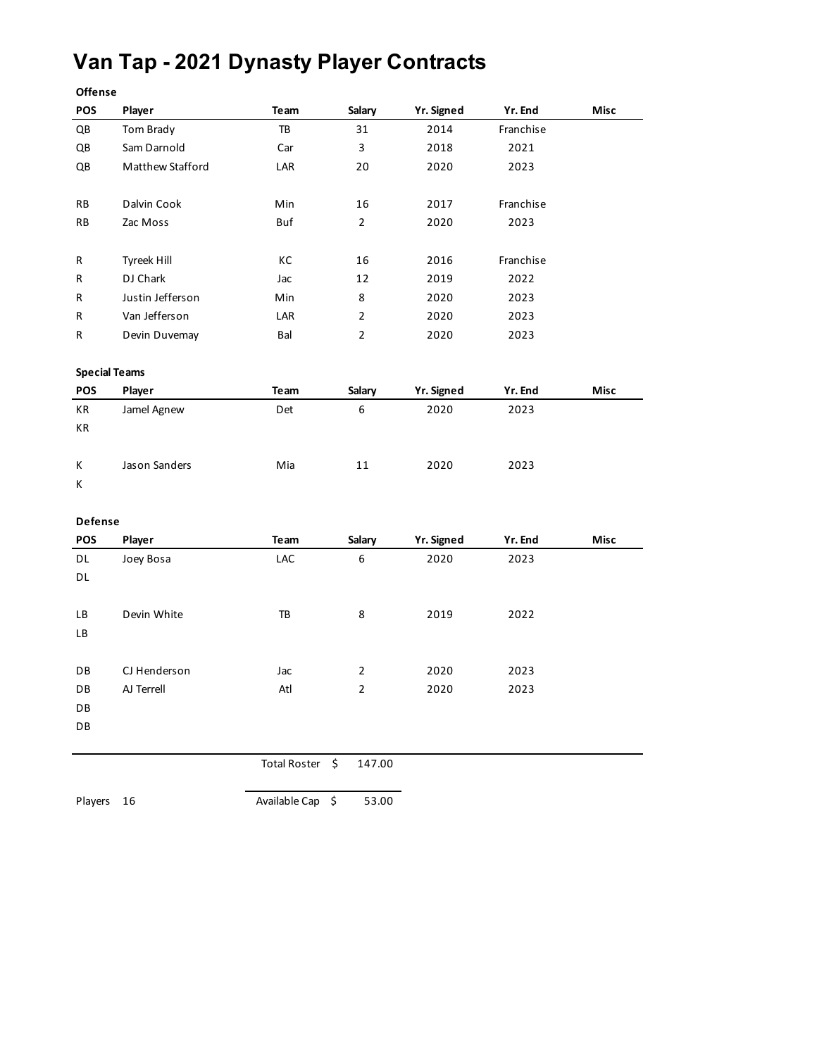### **Van Tap - 2021 Dynasty Player Contracts**

| Offense                |                  |                  |                |            |           |      |
|------------------------|------------------|------------------|----------------|------------|-----------|------|
| POS                    | Player           | Team             | Salary         | Yr. Signed | Yr. End   | Misc |
| $\mathsf{Q}\mathsf{B}$ | Tom Brady        | TB               | 31             | 2014       | Franchise |      |
| QB                     | Sam Darnold      | Car              | 3              | 2018       | 2021      |      |
| QB                     | Matthew Stafford | LAR              | 20             | 2020       | 2023      |      |
|                        |                  |                  |                |            |           |      |
| RB                     | Dalvin Cook      | Min              | 16             | 2017       | Franchise |      |
| RB                     | Zac Moss         | Buf              | $\overline{2}$ | 2020       | 2023      |      |
|                        |                  |                  |                |            |           |      |
| R                      | Tyreek Hill      | КC               | 16             | 2016       | Franchise |      |
| R                      | DJ Chark         | Jac              | 12             | 2019       | 2022      |      |
| R                      | Justin Jefferson | Min              | 8              | 2020       | 2023      |      |
| R                      | Van Jefferson    | LAR              | $\overline{2}$ | 2020       | 2023      |      |
| R                      | Devin Duvemay    | Bal              | $\overline{2}$ | 2020       | 2023      |      |
|                        |                  |                  |                |            |           |      |
| <b>Special Teams</b>   |                  |                  |                |            |           |      |
| POS                    | Player           | Team             | Salary         | Yr. Signed | Yr. End   | Misc |
| KR                     | Jamel Agnew      | Det              | 6              | 2020       | 2023      |      |
| КR                     |                  |                  |                |            |           |      |
|                        |                  |                  |                |            |           |      |
| Κ                      | Jason Sanders    | Mia              | 11             | 2020       | 2023      |      |
| K                      |                  |                  |                |            |           |      |
|                        |                  |                  |                |            |           |      |
| Defense                |                  |                  |                |            |           |      |
| POS                    | Player           | Team             | Salary         | Yr. Signed | Yr. End   | Misc |
| DL                     | Joey Bosa        | LAC              | 6              | 2020       | 2023      |      |
| DL                     |                  |                  |                |            |           |      |
|                        |                  |                  |                |            |           |      |
| LB                     | Devin White      | TB               | 8              | 2019       | 2022      |      |
| LB                     |                  |                  |                |            |           |      |
|                        |                  |                  |                |            |           |      |
| DB                     | CJ Henderson     | Jac              | $\overline{2}$ | 2020       | 2023      |      |
| DB                     | AJ Terrell       | Atl              | $\overline{2}$ | 2020       | 2023      |      |
| DB                     |                  |                  |                |            |           |      |
| DB                     |                  |                  |                |            |           |      |
|                        |                  |                  |                |            |           |      |
|                        |                  | Total Roster \$  | 147.00         |            |           |      |
|                        |                  |                  |                |            |           |      |
| Players                | 16               | Available Cap \$ | 53.00          |            |           |      |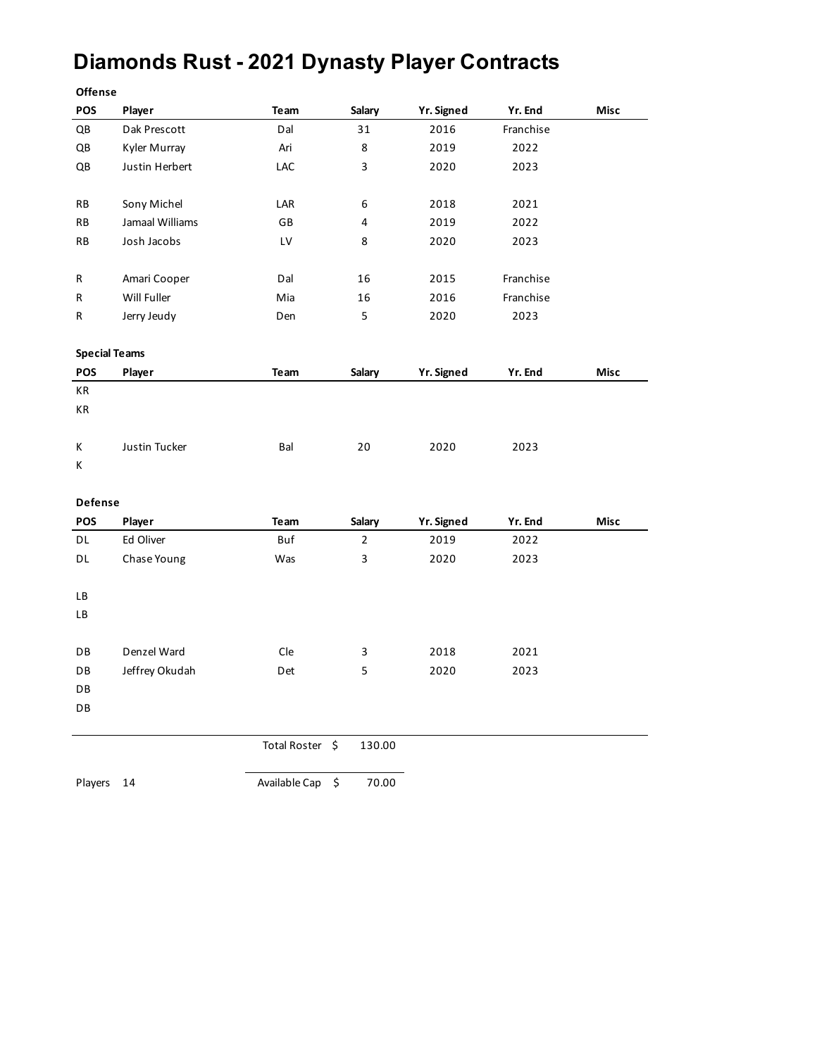### **Diamonds Rust - 2021 Dynasty Player Contracts**

| Offense                |                 |                 |                         |            |           |             |
|------------------------|-----------------|-----------------|-------------------------|------------|-----------|-------------|
| POS                    | Player          | Team            | Salary                  | Yr. Signed | Yr. End   | <b>Misc</b> |
| $\mathsf{Q}\mathsf{B}$ | Dak Prescott    | Dal             | 31                      | 2016       | Franchise |             |
| QB                     | Kyler Murray    | Ari             | 8                       | 2019       | 2022      |             |
| QB                     | Justin Herbert  | LAC             | 3                       | 2020       | 2023      |             |
|                        |                 |                 |                         |            |           |             |
| RB                     | Sony Michel     | LAR             | 6                       | 2018       | 2021      |             |
| RB                     | Jamaal Williams | GB              | $\overline{\mathbf{4}}$ | 2019       | 2022      |             |
| RB                     | Josh Jacobs     | LV              | 8                       | 2020       | 2023      |             |
|                        |                 |                 |                         |            |           |             |
| R                      | Amari Cooper    | Dal             | 16                      | 2015       | Franchise |             |
| R                      | Will Fuller     | Mia             | 16                      | 2016       | Franchise |             |
| R                      | Jerry Jeudy     | Den             | 5                       | 2020       | 2023      |             |
| <b>Special Teams</b>   |                 |                 |                         |            |           |             |
| POS                    | Player          | Team            | Salary                  | Yr. Signed | Yr. End   | Misc        |
| КR                     |                 |                 |                         |            |           |             |
| KR                     |                 |                 |                         |            |           |             |
|                        |                 |                 |                         |            |           |             |
| Κ                      | Justin Tucker   | Bal             | 20                      | 2020       | 2023      |             |
| Κ                      |                 |                 |                         |            |           |             |
|                        |                 |                 |                         |            |           |             |
| Defense                |                 |                 |                         |            |           |             |
| POS                    | Player          | Team            | Salary                  | Yr. Signed | Yr. End   | Misc        |
| DL                     | Ed Oliver       | Buf             | $\overline{2}$          | 2019       | 2022      |             |
| DL                     | Chase Young     | Was             | 3                       | 2020       | 2023      |             |
|                        |                 |                 |                         |            |           |             |
| LB                     |                 |                 |                         |            |           |             |
| LB                     |                 |                 |                         |            |           |             |
|                        |                 |                 |                         |            |           |             |
| DB                     | Denzel Ward     | Cle             | 3                       | 2018       | 2021      |             |
| DB                     | Jeffrey Okudah  | Det             | 5                       | 2020       | 2023      |             |
| DB                     |                 |                 |                         |            |           |             |
| DB                     |                 |                 |                         |            |           |             |
|                        |                 | Total Roster \$ | 130.00                  |            |           |             |
|                        |                 |                 |                         |            |           |             |
| Players                | 14              | Available Cap   | \$<br>70.00             |            |           |             |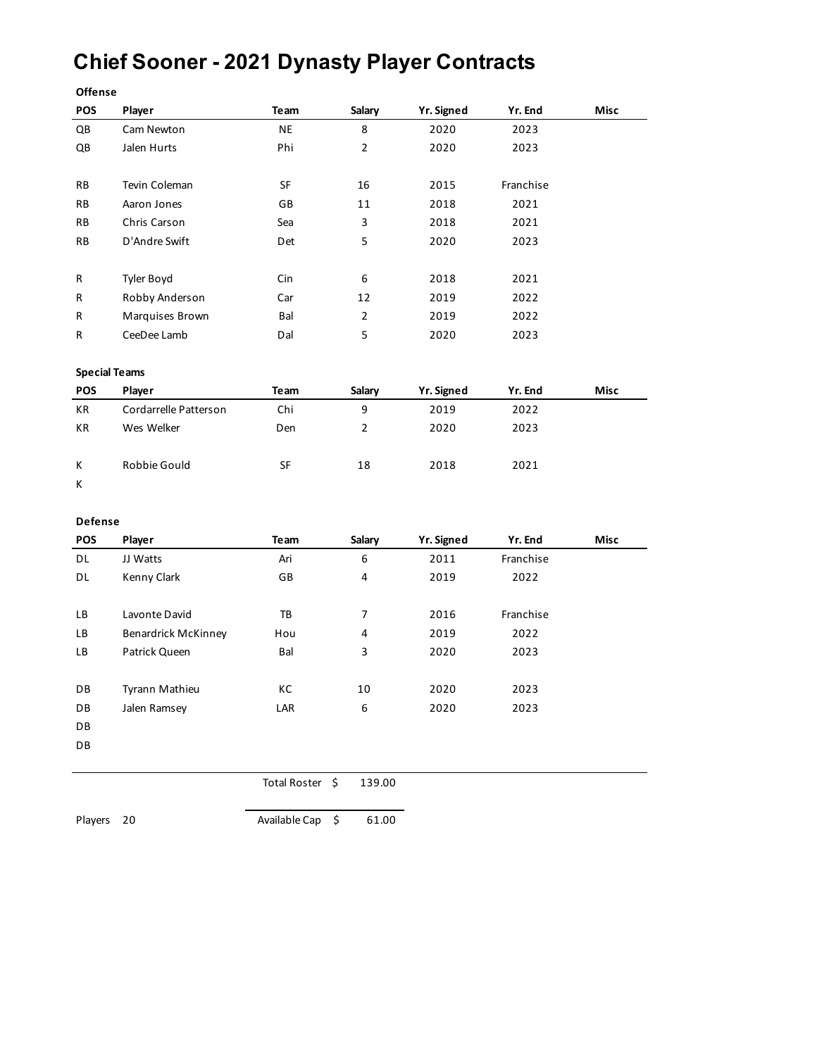### **Chief Sooner - 2021 Dynasty Player Contracts**

| <b>Offense</b>         |                            |                 |                |                   |           |      |
|------------------------|----------------------------|-----------------|----------------|-------------------|-----------|------|
| POS                    | Player                     | Team            | Salary         | Yr. Signed        | Yr. End   | Misc |
| $\mathsf{Q}\mathsf{B}$ | Cam Newton                 | <b>NE</b>       | 8              | 2020              | 2023      |      |
| QB                     | Jalen Hurts                | Phi             | $\overline{2}$ | 2020              | 2023      |      |
| RB                     | Tevin Coleman              | SF              | 16             | 2015              | Franchise |      |
| RB                     | Aaron Jones                | GB              | 11             | 2018              | 2021      |      |
| RB                     | Chris Carson               | Sea             | 3              | 2018              | 2021      |      |
| RB                     | D'Andre Swift              | Det             | 5              | 2020              | 2023      |      |
| R                      | Tyler Boyd                 | Cin             | 6              | 2018              | 2021      |      |
| R                      | Robby Anderson             | Car             | 12             | 2019              | 2022      |      |
| R                      | Marquises Brown            | Bal             | $\overline{2}$ | 2019              | 2022      |      |
| R                      | CeeDee Lamb                | Dal             | 5              | 2020              | 2023      |      |
|                        | <b>Special Teams</b>       |                 |                |                   |           |      |
| POS                    | Player                     | Team            | Salary         | <b>Yr. Signed</b> | Yr. End   | Misc |
| KR                     | Cordarrelle Patterson      | Chi             | 9              | 2019              | 2022      |      |
| КR                     | Wes Welker                 | Den             | $\overline{2}$ | 2020              | 2023      |      |
| Κ                      | Robbie Gould               | SF              | 18             | 2018              | 2021      |      |
| Κ                      |                            |                 |                |                   |           |      |
|                        |                            |                 |                |                   |           |      |
| Defense                |                            |                 |                |                   |           |      |
| POS                    | Player                     | Team            | Salary         | Yr. Signed        | Yr. End   | Misc |
| DL                     | JJ Watts                   | Ari             | 6              | 2011              | Franchise |      |
| DL                     | Kenny Clark                | GB              | 4              | 2019              | 2022      |      |
| LB                     | Lavonte David              | TB              | 7              | 2016              | Franchise |      |
| LB                     | <b>Benardrick McKinney</b> | Hou             | 4              | 2019              | 2022      |      |
| LB                     | Patrick Queen              | Bal             | 3              | 2020              | 2023      |      |
| DB                     | Tyrann Mathieu             | КC              | 10             | 2020              | 2023      |      |
| DB                     | Jalen Ramsey               | LAR             | 6              | 2020              | 2023      |      |
| DB                     |                            |                 |                |                   |           |      |
| DB                     |                            |                 |                |                   |           |      |
|                        |                            | Total Roster \$ | 139.00         |                   |           |      |

Players 20 Available Cap \$ 61.00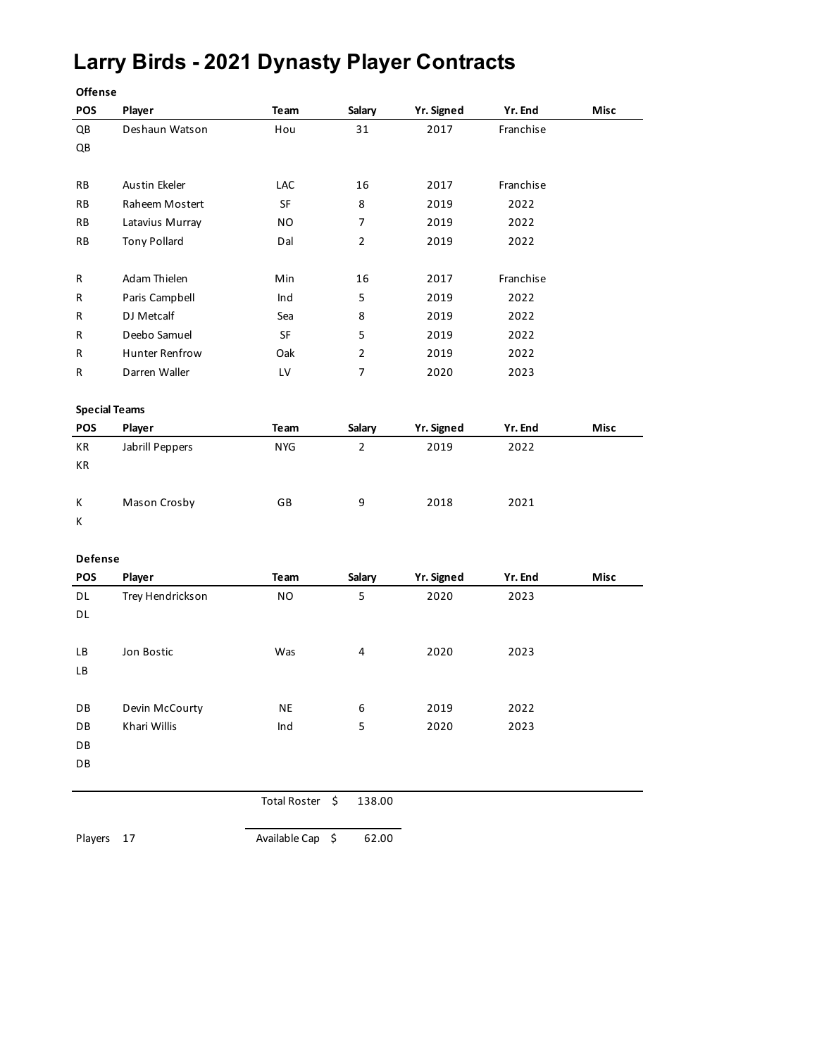### **Larry Birds - 2021 Dynasty Player Contracts**

| <b>Offense</b>       |                       |            |                |            |           |      |
|----------------------|-----------------------|------------|----------------|------------|-----------|------|
| <b>POS</b>           | Player                | Team       | Salary         | Yr. Signed | Yr. End   | Misc |
| QB                   | Deshaun Watson        | Hou        | 31             | 2017       | Franchise |      |
| QB                   |                       |            |                |            |           |      |
|                      |                       |            |                |            |           |      |
| RB                   | <b>Austin Ekeler</b>  | <b>LAC</b> | 16             | 2017       | Franchise |      |
| RB                   | Raheem Mostert        | SF         | 8              | 2019       | 2022      |      |
| RB                   | Latavius Murray       | NO         | $\overline{7}$ | 2019       | 2022      |      |
| RB                   | <b>Tony Pollard</b>   | Dal        | $\overline{2}$ | 2019       | 2022      |      |
| R                    | Adam Thielen          | Min        | 16             | 2017       | Franchise |      |
| R                    | Paris Campbell        | Ind        | 5              | 2019       | 2022      |      |
| R                    | DJ Metcalf            | Sea        | 8              | 2019       | 2022      |      |
| R                    | Deebo Samuel          | <b>SF</b>  | 5              | 2019       | 2022      |      |
| R                    | <b>Hunter Renfrow</b> | Oak        | $\overline{2}$ | 2019       | 2022      |      |
| R                    | Darren Waller         | LV         | $\overline{7}$ | 2020       | 2023      |      |
|                      |                       |            |                |            |           |      |
| <b>Special Teams</b> |                       |            |                |            |           |      |
| POS                  | Player                | Team       | Salary         | Yr. Signed | Yr. End   | Misc |
| КR                   | Jabrill Peppers       | <b>NYG</b> | $\overline{2}$ | 2019       | 2022      |      |
| КR                   |                       |            |                |            |           |      |
| K                    |                       | GB         | 9              | 2018       | 2021      |      |
| К                    | Mason Crosby          |            |                |            |           |      |
|                      |                       |            |                |            |           |      |
| Defense              |                       |            |                |            |           |      |
| <b>POS</b>           | Player                | Team       | Salary         | Yr. Signed | Yr. End   | Misc |
| DL                   | Trey Hendrickson      | NO         | 5              | 2020       | 2023      |      |
| DL                   |                       |            |                |            |           |      |
|                      |                       |            |                |            |           |      |
| LВ                   | Jon Bostic            | Was        | 4              | 2020       | 2023      |      |
| LВ                   |                       |            |                |            |           |      |
|                      |                       |            |                |            |           |      |
| DB                   | Devin McCourty        | <b>NE</b>  | 6              | 2019       | 2022      |      |
| DB                   | Khari Willis          | Ind        | 5              | 2020       | 2023      |      |
| DB                   |                       |            |                |            |           |      |
| DB                   |                       |            |                |            |           |      |

Total Roster \$ 138.00

Players 17 Available Cap \$ 62.00